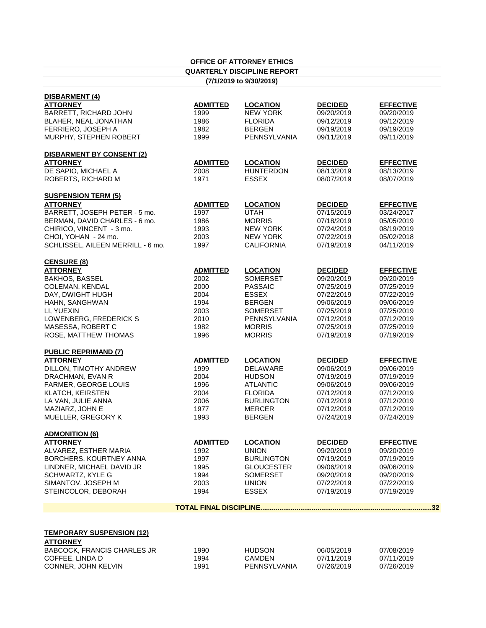|                                    |                 | <b>OFFICE OF ATTORNEY ETHICS</b>   |                |                  |
|------------------------------------|-----------------|------------------------------------|----------------|------------------|
|                                    |                 | <b>QUARTERLY DISCIPLINE REPORT</b> |                |                  |
|                                    |                 | (7/1/2019 to 9/30/2019)            |                |                  |
|                                    |                 |                                    |                |                  |
| <b>DISBARMENT (4)</b>              |                 |                                    |                |                  |
| <b>ATTORNEY</b>                    | <b>ADMITTED</b> | <b>LOCATION</b>                    | <b>DECIDED</b> | <b>EFFECTIVE</b> |
| <b>BARRETT, RICHARD JOHN</b>       | 1999            | <b>NEW YORK</b>                    | 09/20/2019     | 09/20/2019       |
| BLAHER, NEAL JONATHAN              | 1986            | <b>FLORIDA</b>                     | 09/12/2019     | 09/12/2019       |
| FERRIERO, JOSEPH A                 | 1982            | <b>BERGEN</b>                      | 09/19/2019     | 09/19/2019       |
| MURPHY, STEPHEN ROBERT             | 1999            | <b>PENNSYLVANIA</b>                | 09/11/2019     | 09/11/2019       |
| <b>DISBARMENT BY CONSENT (2)</b>   |                 |                                    |                |                  |
| <b>ATTORNEY</b>                    | <b>ADMITTED</b> | <b>LOCATION</b>                    | <b>DECIDED</b> | <b>EFFECTIVE</b> |
| DE SAPIO, MICHAEL A                | 2008            | <b>HUNTERDON</b>                   | 08/13/2019     | 08/13/2019       |
| ROBERTS, RICHARD M                 | 1971            | <b>ESSEX</b>                       | 08/07/2019     | 08/07/2019       |
| <b>SUSPENSION TERM (5)</b>         |                 |                                    |                |                  |
| <b>ATTORNEY</b>                    | <b>ADMITTED</b> | <b>LOCATION</b>                    | <b>DECIDED</b> | <b>EFFECTIVE</b> |
| BARRETT, JOSEPH PETER - 5 mo.      | 1997            | <b>UTAH</b>                        | 07/15/2019     | 03/24/2017       |
| BERMAN, DAVID CHARLES - 6 mo.      | 1986            | <b>MORRIS</b>                      | 07/18/2019     | 05/05/2019       |
| CHIRICO, VINCENT - 3 mo.           | 1993            | <b>NEW YORK</b>                    | 07/24/2019     | 08/19/2019       |
| CHOI, YOHAN - 24 mo.               | 2003            | <b>NEW YORK</b>                    | 07/22/2019     | 05/02/2018       |
|                                    |                 | <b>CALIFORNIA</b>                  |                | 04/11/2019       |
| SCHLISSEL, AILEEN MERRILL - 6 mo.  | 1997            |                                    | 07/19/2019     |                  |
| <b>CENSURE (8)</b>                 |                 |                                    |                |                  |
| <b>ATTORNEY</b>                    | <b>ADMITTED</b> | <b>LOCATION</b>                    | <b>DECIDED</b> | <b>EFFECTIVE</b> |
| <b>BAKHOS, BASSEL</b>              | 2002            | <b>SOMERSET</b>                    | 09/20/2019     | 09/20/2019       |
| <b>COLEMAN, KENDAL</b>             | 2000            | <b>PASSAIC</b>                     | 07/25/2019     | 07/25/2019       |
| DAY, DWIGHT HUGH                   | 2004            | <b>ESSEX</b>                       | 07/22/2019     | 07/22/2019       |
| HAHN, SANGHWAN                     | 1994            | <b>BERGEN</b>                      | 09/06/2019     | 09/06/2019       |
| LI, YUEXIN                         | 2003            | <b>SOMERSET</b>                    | 07/25/2019     | 07/25/2019       |
| LOWENBERG, FREDERICK S             | 2010            | PENNSYLVANIA                       | 07/12/2019     | 07/12/2019       |
| MASESSA, ROBERT C                  | 1982            | <b>MORRIS</b>                      | 07/25/2019     | 07/25/2019       |
| ROSE, MATTHEW THOMAS               | 1996            | <b>MORRIS</b>                      | 07/19/2019     | 07/19/2019       |
| <b>PUBLIC REPRIMAND (7)</b>        |                 |                                    |                |                  |
| <b>ATTORNEY</b>                    | <b>ADMITTED</b> | <b>LOCATION</b>                    | <b>DECIDED</b> | <b>EFFECTIVE</b> |
| DILLON, TIMOTHY ANDREW             | 1999            | <b>DELAWARE</b>                    | 09/06/2019     | 09/06/2019       |
| DRACHMAN, EVAN R                   | 2004            | <b>HUDSON</b>                      | 07/19/2019     | 07/19/2019       |
| <b>FARMER, GEORGE LOUIS</b>        | 1996            | <b>ATLANTIC</b>                    | 09/06/2019     | 09/06/2019       |
| <b>KLATCH, KEIRSTEN</b>            | 2004            | <b>FLORIDA</b>                     | 07/12/2019     | 07/12/2019       |
| LA VAN, JULIE ANNA                 | 2006            | <b>BURLINGTON</b>                  | 07/12/2019     | 07/12/2019       |
| MAZIARZ, JOHN E                    | 1977            | <b>MERCER</b>                      | 07/12/2019     | 07/12/2019       |
| MUELLER, GREGORY K                 | 1993            | <b>BERGEN</b>                      | 07/24/2019     | 07/24/2019       |
|                                    |                 |                                    |                |                  |
| <b>ADMONITION (6)</b>              |                 |                                    |                |                  |
| <b>ATTORNEY</b>                    | <b>ADMITTED</b> | <b>LOCATION</b>                    | <b>DECIDED</b> | <b>EFFECTIVE</b> |
| ALVAREZ, ESTHER MARIA              | 1992            | <b>UNION</b>                       | 09/20/2019     | 09/20/2019       |
| BORCHERS, KOURTNEY ANNA            | 1997            | <b>BURLINGTON</b>                  | 07/19/2019     | 07/19/2019       |
| LINDNER, MICHAEL DAVID JR          | 1995            | <b>GLOUCESTER</b>                  | 09/06/2019     | 09/06/2019       |
| <b>SCHWARTZ, KYLE G</b>            | 1994            | <b>SOMERSET</b>                    | 09/20/2019     | 09/20/2019       |
| SIMANTOV, JOSEPH M                 | 2003            | <b>UNION</b>                       | 07/22/2019     | 07/22/2019       |
| STEINCOLOR, DEBORAH                | 1994            | <b>ESSEX</b>                       | 07/19/2019     | 07/19/2019       |
|                                    |                 |                                    |                | .32              |
|                                    |                 |                                    |                |                  |
| <b>TEMPORARY SUSPENSION (12)</b>   |                 |                                    |                |                  |
| <b>ATTORNEY</b>                    |                 |                                    |                |                  |
| <b>BABCOCK, FRANCIS CHARLES JR</b> | 1990            | <b>HUDSON</b>                      | 06/05/2019     | 07/08/2019       |
| COFFEE, LINDA D                    | 1994            | <b>CAMDEN</b>                      | 07/11/2019     | 07/11/2019       |

CONNER, JOHN KELVIN 1991 PENNSYLVANIA 07/26/2019 07/26/2019